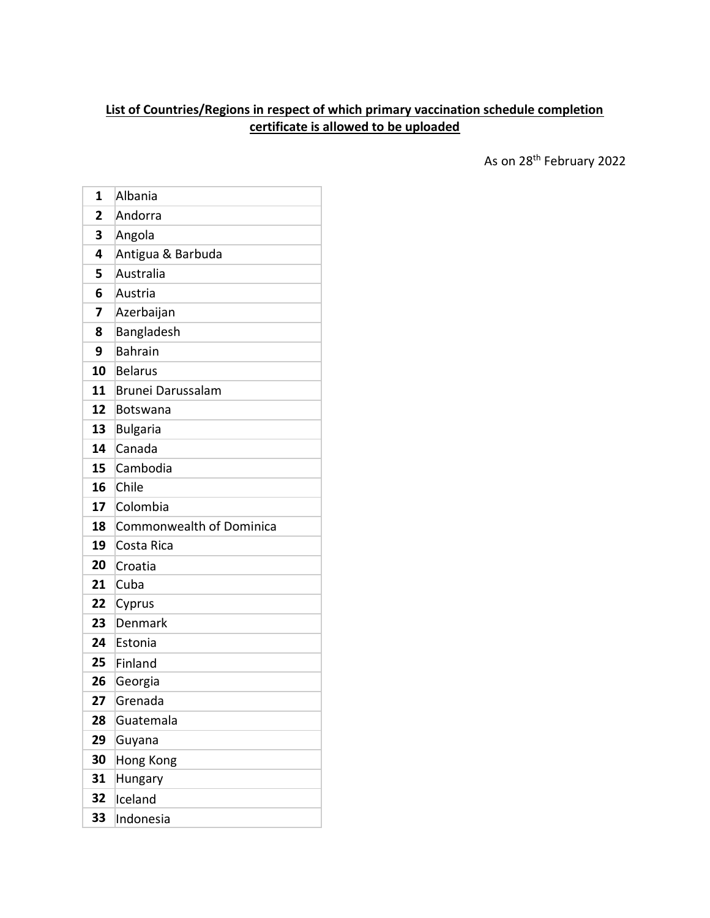## **List of Countries/Regions in respect of which primary vaccination schedule completion certificate is allowed to be uploaded**

As on 28<sup>th</sup> February 2022

| 1              | Albania                  |
|----------------|--------------------------|
| $\overline{2}$ | Andorra                  |
| 3              | Angola                   |
| 4              | Antigua & Barbuda        |
| 5              | Australia                |
| 6              | Austria                  |
| 7              | Azerbaijan               |
| 8              | Bangladesh               |
| 9              | <b>Bahrain</b>           |
| 10             | Belarus                  |
| 11             | Brunei Darussalam        |
| 12             | Botswana                 |
| 13             | <b>Bulgaria</b>          |
| 14             | Canada                   |
| 15             | Cambodia                 |
| 16             | Chile                    |
| 17             | Colombia                 |
| 18             | Commonwealth of Dominica |
| 19             | Costa Rica               |
| 20             | Croatia                  |
| 21             | Cuba                     |
| 22             | Cyprus                   |
| 23             | Denmark                  |
| 24             | Estonia                  |
| 25             | Finland                  |
| 26             | Georgia                  |
| 27             | Grenada                  |
| 28             | Guatemala                |
| 29             | Guyana                   |
| 30             | Hong Kong                |
| 31             | Hungary                  |
| 32             | Iceland                  |
| 33             | Indonesia                |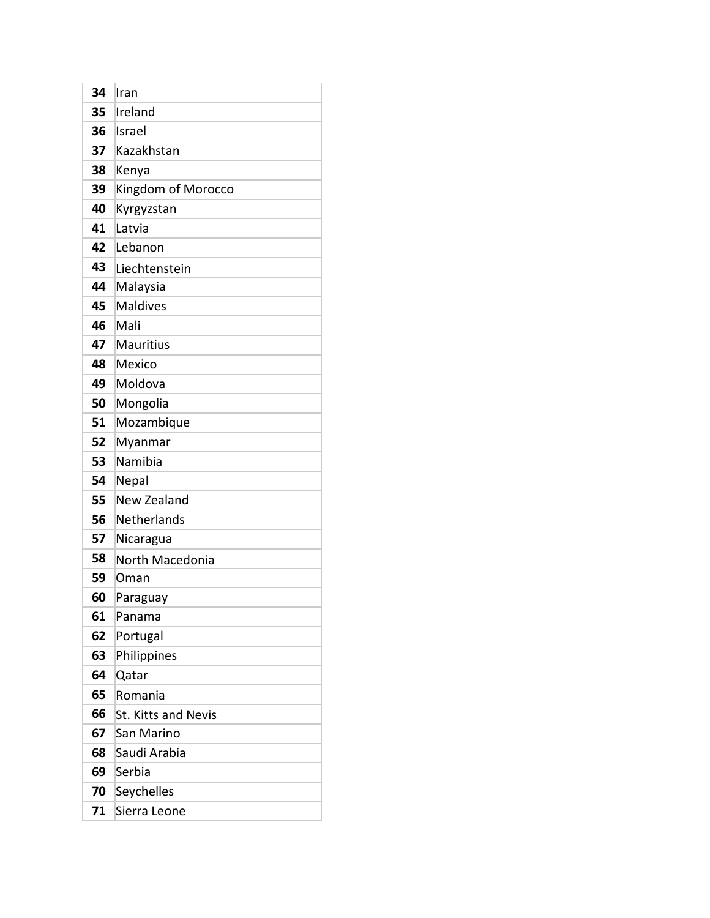| 34 | Iran                       |
|----|----------------------------|
| 35 | Ireland                    |
| 36 | Israel                     |
| 37 | Kazakhstan                 |
| 38 | Kenya                      |
| 39 | Kingdom of Morocco         |
| 40 | Kyrgyzstan                 |
| 41 | Latvia                     |
| 42 | Lebanon                    |
| 43 | Liechtenstein              |
| 44 | Malaysia                   |
| 45 | <b>Maldives</b>            |
| 46 | Mali                       |
| 47 | <b>Mauritius</b>           |
| 48 | Mexico                     |
| 49 | Moldova                    |
| 50 | Mongolia                   |
| 51 | Mozambique                 |
| 52 | Myanmar                    |
| 53 | Namibia                    |
| 54 | Nepal                      |
| 55 | New Zealand                |
| 56 | Netherlands                |
| 57 | Nicaragua                  |
| 58 | North Macedonia            |
| 59 | Oman                       |
| 60 | Paraguay                   |
| 61 | Panama                     |
| 62 | Portugal                   |
| 63 | Philippines                |
| 64 | Qatar                      |
| 65 | Romania                    |
| 66 | <b>St. Kitts and Nevis</b> |
| 67 | San Marino                 |
| 68 | Saudi Arabia               |
| 69 | Serbia                     |
| 70 | Seychelles                 |
| 71 | Sierra Leone               |